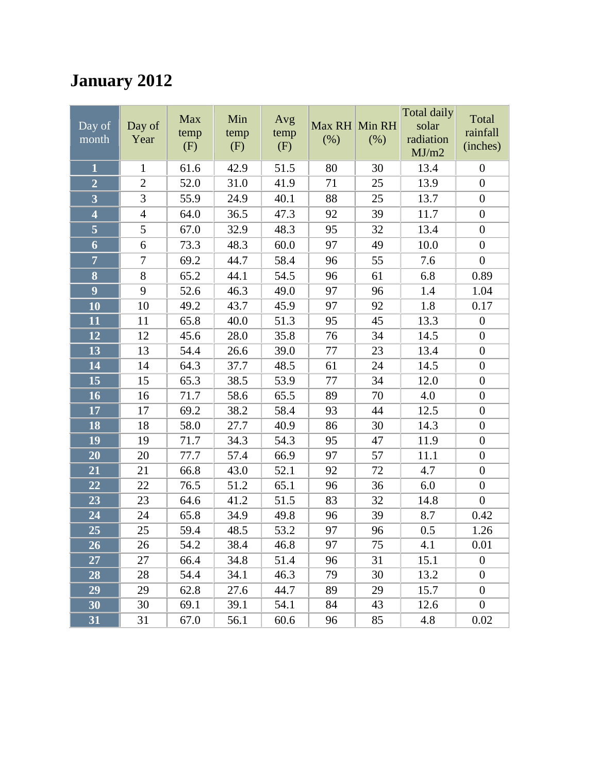# **January 2012**

| $\overline{Day}$ of<br>month | Day of<br>Year | <b>Max</b><br>temp<br>(F) | Min<br>temp<br>(F) | Avg<br>temp<br>(F) | Max RH Min RH<br>(% ) | (% ) | Total daily<br>solar<br>radiation<br>MJ/m2 | Total<br>rainfall<br>(inches) |
|------------------------------|----------------|---------------------------|--------------------|--------------------|-----------------------|------|--------------------------------------------|-------------------------------|
| $\mathbf{1}$                 | $\mathbf{1}$   | 61.6                      | 42.9               | 51.5               | 80                    | 30   | 13.4                                       | $\boldsymbol{0}$              |
| $\overline{2}$               | $\overline{2}$ | 52.0                      | 31.0               | 41.9               | 71                    | 25   | 13.9                                       | $\boldsymbol{0}$              |
| $\overline{\mathbf{3}}$      | 3              | 55.9                      | 24.9               | 40.1               | 88                    | 25   | 13.7                                       | $\boldsymbol{0}$              |
| $\overline{\mathbf{4}}$      | $\overline{4}$ | 64.0                      | 36.5               | 47.3               | 92                    | 39   | 11.7                                       | $\boldsymbol{0}$              |
|                              | 5              | 67.0                      | 32.9               | 48.3               | 95                    | 32   | 13.4                                       | $\boldsymbol{0}$              |
| $\boldsymbol{6}$             | 6              | 73.3                      | 48.3               | 60.0               | 97                    | 49   | 10.0                                       | $\boldsymbol{0}$              |
| $\overline{7}$               | $\overline{7}$ | 69.2                      | 44.7               | 58.4               | 96                    | 55   | 7.6                                        | $\boldsymbol{0}$              |
| 8                            | 8              | 65.2                      | 44.1               | 54.5               | 96                    | 61   | 6.8                                        | 0.89                          |
| $\overline{9}$               | 9              | 52.6                      | 46.3               | 49.0               | 97                    | 96   | 1.4                                        | 1.04                          |
| 10                           | 10             | 49.2                      | 43.7               | 45.9               | 97                    | 92   | 1.8                                        | 0.17                          |
| 11                           | 11             | 65.8                      | 40.0               | 51.3               | 95                    | 45   | 13.3                                       | $\boldsymbol{0}$              |
| 12                           | 12             | 45.6                      | 28.0               | 35.8               | 76                    | 34   | 14.5                                       | $\boldsymbol{0}$              |
| 13                           | 13             | 54.4                      | 26.6               | 39.0               | 77                    | 23   | 13.4                                       | $\boldsymbol{0}$              |
| 14                           | 14             | 64.3                      | 37.7               | 48.5               | 61                    | 24   | 14.5                                       | $\boldsymbol{0}$              |
| 15                           | 15             | 65.3                      | 38.5               | 53.9               | 77                    | 34   | 12.0                                       | $\boldsymbol{0}$              |
| 16                           | 16             | 71.7                      | 58.6               | 65.5               | 89                    | 70   | 4.0                                        | $\boldsymbol{0}$              |
| 17                           | 17             | 69.2                      | 38.2               | 58.4               | 93                    | 44   | 12.5                                       | $\boldsymbol{0}$              |
| 18                           | 18             | 58.0                      | 27.7               | 40.9               | 86                    | 30   | 14.3                                       | $\overline{0}$                |
| 19                           | 19             | 71.7                      | 34.3               | 54.3               | 95                    | 47   | 11.9                                       | $\boldsymbol{0}$              |
| 20                           | 20             | 77.7                      | 57.4               | 66.9               | 97                    | 57   | 11.1                                       | $\boldsymbol{0}$              |
| 21                           | 21             | 66.8                      | 43.0               | 52.1               | 92                    | 72   | 4.7                                        | $\boldsymbol{0}$              |
| 22                           | 22             | 76.5                      | 51.2               | 65.1               | 96                    | 36   | 6.0                                        | $\boldsymbol{0}$              |
| 23                           | 23             | 64.6                      | 41.2               | 51.5               | 83                    | 32   | 14.8                                       | $\boldsymbol{0}$              |
| 24                           | 24             | 65.8                      | 34.9               | 49.8               | 96                    | 39   | 8.7                                        | 0.42                          |
| 25                           | 25             | 59.4                      | 48.5               | 53.2               | 97                    | 96   | 0.5                                        | 1.26                          |
| $\overline{26}$              | 26             | 54.2                      | 38.4               | 46.8               | 97                    | 75   | 4.1                                        | 0.01                          |
| 27                           | 27             | 66.4                      | 34.8               | 51.4               | 96                    | 31   | 15.1                                       | $\theta$                      |
| 28                           | 28             | 54.4                      | 34.1               | 46.3               | 79                    | 30   | 13.2                                       | $\boldsymbol{0}$              |
| 29                           | 29             | 62.8                      | 27.6               | 44.7               | 89                    | 29   | 15.7                                       | $\overline{0}$                |
| 30                           | 30             | 69.1                      | 39.1               | 54.1               | 84                    | 43   | 12.6                                       | $\boldsymbol{0}$              |
| 31                           | 31             | 67.0                      | 56.1               | 60.6               | 96                    | 85   | 4.8                                        | 0.02                          |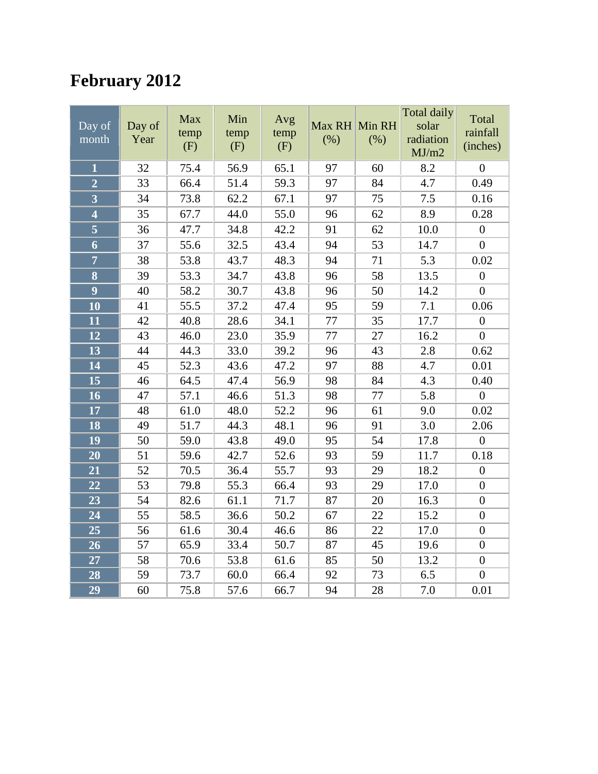# **February 2012**

| Day of<br>month                      | Day of<br>Year | Max<br>temp<br>(F) | Min<br>temp<br>(F) | Avg<br>temp<br>(F) | Max RH<br>(% ) | Min RH<br>(% ) | <b>Total daily</b><br>solar<br>radiation<br>MJ/m2 | Total<br>rainfall<br>(inches) |
|--------------------------------------|----------------|--------------------|--------------------|--------------------|----------------|----------------|---------------------------------------------------|-------------------------------|
| $\mathbf{1}$                         | 32             | 75.4               | 56.9               | 65.1               | 97             | 60             | 8.2                                               | $\boldsymbol{0}$              |
| $\overline{2}$                       | 33             | 66.4               | 51.4               | 59.3               | 97             | 84             | 4.7                                               | 0.49                          |
| $\overline{\overline{3}}$            | 34             | 73.8               | 62.2               | 67.1               | 97             | 75             | 7.5                                               | 0.16                          |
| $\overline{\mathbf{4}}$              | 35             | 67.7               | 44.0               | 55.0               | 96             | 62             | 8.9                                               | 0.28                          |
| $\overline{\overline{\overline{5}}}$ | 36             | 47.7               | 34.8               | 42.2               | 91             | 62             | 10.0                                              | $\boldsymbol{0}$              |
| $\boldsymbol{6}$                     | 37             | 55.6               | 32.5               | 43.4               | 94             | 53             | 14.7                                              | $\boldsymbol{0}$              |
| $\overline{7}$                       | 38             | 53.8               | 43.7               | 48.3               | 94             | 71             | 5.3                                               | 0.02                          |
| 8                                    | 39             | 53.3               | 34.7               | 43.8               | 96             | 58             | 13.5                                              | $\boldsymbol{0}$              |
| $\overline{9}$                       | 40             | 58.2               | 30.7               | 43.8               | 96             | 50             | 14.2                                              | $\overline{0}$                |
| 10                                   | 41             | 55.5               | 37.2               | 47.4               | 95             | 59             | 7.1                                               | 0.06                          |
| 11                                   | 42             | 40.8               | 28.6               | 34.1               | 77             | 35             | 17.7                                              | $\overline{0}$                |
| 12                                   | 43             | 46.0               | 23.0               | 35.9               | 77             | 27             | 16.2                                              | $\boldsymbol{0}$              |
| 13                                   | 44             | 44.3               | 33.0               | 39.2               | 96             | 43             | 2.8                                               | 0.62                          |
| 14                                   | 45             | 52.3               | 43.6               | 47.2               | 97             | 88             | 4.7                                               | 0.01                          |
| $\overline{15}$                      | 46             | 64.5               | 47.4               | 56.9               | 98             | 84             | 4.3                                               | 0.40                          |
| 16                                   | 47             | 57.1               | 46.6               | 51.3               | 98             | 77             | 5.8                                               | $\boldsymbol{0}$              |
| 17                                   | 48             | 61.0               | 48.0               | 52.2               | 96             | 61             | 9.0                                               | 0.02                          |
| 18                                   | 49             | 51.7               | 44.3               | 48.1               | 96             | 91             | 3.0                                               | 2.06                          |
| 19                                   | 50             | 59.0               | 43.8               | 49.0               | 95             | 54             | 17.8                                              | $\boldsymbol{0}$              |
| 20                                   | 51             | 59.6               | 42.7               | 52.6               | 93             | 59             | 11.7                                              | 0.18                          |
| 21                                   | 52             | 70.5               | 36.4               | 55.7               | 93             | 29             | 18.2                                              | $\boldsymbol{0}$              |
| $\overline{22}$                      | 53             | 79.8               | 55.3               | 66.4               | 93             | 29             | 17.0                                              | $\boldsymbol{0}$              |
| 23                                   | 54             | 82.6               | 61.1               | 71.7               | 87             | 20             | 16.3                                              | $\boldsymbol{0}$              |
| 24                                   | 55             | 58.5               | 36.6               | 50.2               | 67             | 22             | 15.2                                              | $\boldsymbol{0}$              |
| 25                                   | 56             | 61.6               | 30.4               | 46.6               | 86             | 22             | 17.0                                              | $\overline{0}$                |
| 26                                   | 57             | 65.9               | 33.4               | 50.7               | 87             | 45             | 19.6                                              | $\boldsymbol{0}$              |
| 27                                   | 58             | 70.6               | 53.8               | 61.6               | 85             | 50             | 13.2                                              | $\boldsymbol{0}$              |
| 28                                   | 59             | 73.7               | 60.0               | 66.4               | 92             | 73             | 6.5                                               | $\boldsymbol{0}$              |
| 29                                   | 60             | 75.8               | 57.6               | 66.7               | 94             | 28             | 7.0                                               | 0.01                          |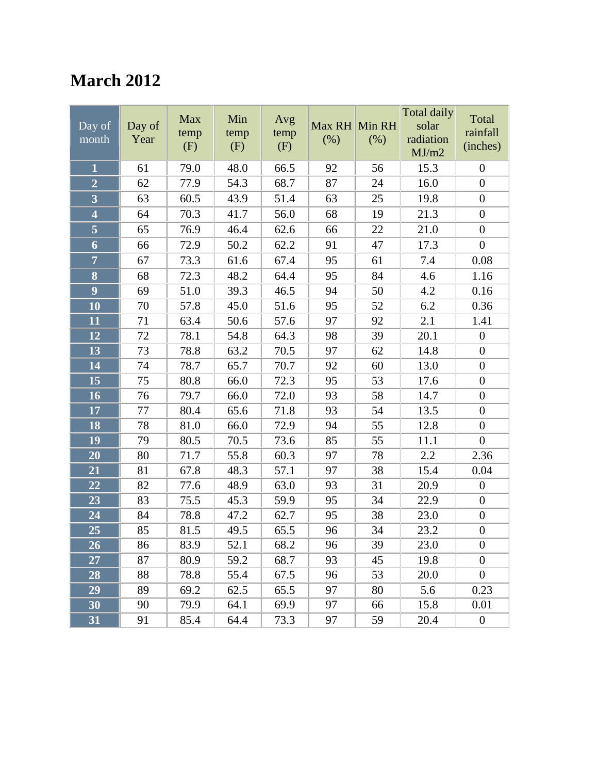### **March 2012**

| Day of<br>month                      | Day of<br>Year | Max<br>temp<br>(F) | Min<br>temp<br>(F) | Avg<br>temp<br>(F) | Max RH Min RH<br>(% ) | (% ) | Total daily<br>solar<br>radiation<br>MJ/m2 | Total<br>rainfall<br>(inches) |
|--------------------------------------|----------------|--------------------|--------------------|--------------------|-----------------------|------|--------------------------------------------|-------------------------------|
| $\mathbf{1}$                         | 61             | 79.0               | 48.0               | 66.5               | 92                    | 56   | 15.3                                       | $\boldsymbol{0}$              |
| $\overline{2}$                       | 62             | 77.9               | 54.3               | 68.7               | 87                    | 24   | 16.0                                       | $\boldsymbol{0}$              |
| $\overline{\mathbf{3}}$              | 63             | 60.5               | 43.9               | 51.4               | 63                    | 25   | 19.8                                       | $\boldsymbol{0}$              |
| $\overline{\mathbf{4}}$              | 64             | 70.3               | 41.7               | 56.0               | 68                    | 19   | 21.3                                       | $\overline{0}$                |
| $\overline{\overline{\overline{5}}}$ | 65             | 76.9               | 46.4               | 62.6               | 66                    | 22   | 21.0                                       | $\boldsymbol{0}$              |
| 6                                    | 66             | 72.9               | 50.2               | 62.2               | 91                    | 47   | 17.3                                       | $\boldsymbol{0}$              |
| $\overline{7}$                       | 67             | 73.3               | 61.6               | 67.4               | 95                    | 61   | 7.4                                        | 0.08                          |
| $\overline{\mathbf{8}}$              | 68             | 72.3               | 48.2               | 64.4               | 95                    | 84   | 4.6                                        | 1.16                          |
| $\overline{9}$                       | 69             | 51.0               | 39.3               | 46.5               | 94                    | 50   | 4.2                                        | 0.16                          |
| 10                                   | 70             | 57.8               | 45.0               | 51.6               | 95                    | 52   | 6.2                                        | 0.36                          |
| 11                                   | 71             | 63.4               | 50.6               | 57.6               | 97                    | 92   | 2.1                                        | 1.41                          |
| 12                                   | 72             | 78.1               | 54.8               | 64.3               | 98                    | 39   | 20.1                                       | $\boldsymbol{0}$              |
| 13                                   | 73             | 78.8               | 63.2               | 70.5               | 97                    | 62   | 14.8                                       | $\boldsymbol{0}$              |
| 14                                   | 74             | 78.7               | 65.7               | 70.7               | 92                    | 60   | 13.0                                       | $\boldsymbol{0}$              |
| 15                                   | 75             | 80.8               | 66.0               | 72.3               | 95                    | 53   | 17.6                                       | $\boldsymbol{0}$              |
| 16                                   | 76             | 79.7               | 66.0               | 72.0               | 93                    | 58   | 14.7                                       | $\boldsymbol{0}$              |
| 17                                   | 77             | 80.4               | 65.6               | 71.8               | 93                    | 54   | 13.5                                       | $\boldsymbol{0}$              |
| 18                                   | 78             | 81.0               | 66.0               | 72.9               | 94                    | 55   | 12.8                                       | $\boldsymbol{0}$              |
| 19                                   | 79             | 80.5               | 70.5               | 73.6               | 85                    | 55   | 11.1                                       | $\boldsymbol{0}$              |
| 20                                   | 80             | 71.7               | 55.8               | 60.3               | 97                    | 78   | 2.2                                        | 2.36                          |
| 21                                   | 81             | 67.8               | 48.3               | 57.1               | 97                    | 38   | 15.4                                       | 0.04                          |
| 22                                   | 82             | 77.6               | 48.9               | 63.0               | 93                    | 31   | 20.9                                       | $\boldsymbol{0}$              |
| 23                                   | 83             | 75.5               | 45.3               | 59.9               | 95                    | 34   | 22.9                                       | $\boldsymbol{0}$              |
| 24                                   | 84             | 78.8               | 47.2               | 62.7               | 95                    | 38   | 23.0                                       | $\boldsymbol{0}$              |
| 25                                   | 85             | 81.5               | 49.5               | 65.5               | 96                    | 34   | 23.2                                       | $\boldsymbol{0}$              |
| $\overline{26}$                      | 86             | 83.9               | 52.1               | 68.2               | 96                    | 39   | 23.0                                       | $\boldsymbol{0}$              |
| 27                                   | 87             | 80.9               | 59.2               | 68.7               | 93                    | 45   | 19.8                                       | $\overline{0}$                |
| 28                                   | 88             | 78.8               | 55.4               | 67.5               | 96                    | 53   | 20.0                                       | $\boldsymbol{0}$              |
| 29                                   | 89             | 69.2               | 62.5               | 65.5               | 97                    | 80   | 5.6                                        | 0.23                          |
| 30                                   | 90             | 79.9               | 64.1               | 69.9               | 97                    | 66   | 15.8                                       | 0.01                          |
| 31                                   | 91             | 85.4               | 64.4               | 73.3               | 97                    | 59   | 20.4                                       | $\boldsymbol{0}$              |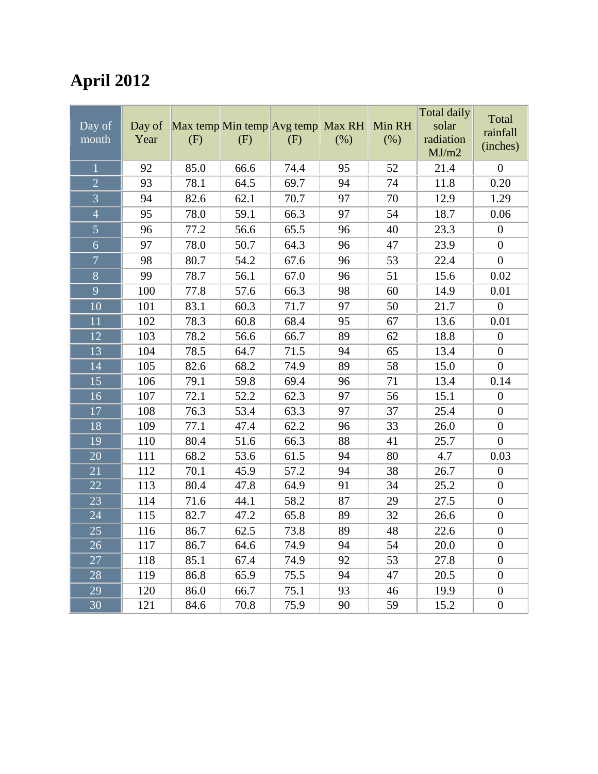# **April 2012**

| $\overline{$ Day of<br>month | Day of<br>Year | Max temp Min temp Avg temp<br>(F) | (F)  | (F)  | Max RH<br>(%) | Min RH<br>(% ) | <b>Total daily</b><br>solar<br>radiation<br>MJ/m2 | Total<br>rainfall<br>(inches) |
|------------------------------|----------------|-----------------------------------|------|------|---------------|----------------|---------------------------------------------------|-------------------------------|
| $\mathbf{1}$                 | 92             | 85.0                              | 66.6 | 74.4 | 95            | 52             | 21.4                                              | $\overline{0}$                |
| $\overline{2}$               | 93             | 78.1                              | 64.5 | 69.7 | 94            | 74             | 11.8                                              | 0.20                          |
| $\overline{3}$               | 94             | 82.6                              | 62.1 | 70.7 | 97            | 70             | 12.9                                              | 1.29                          |
| $\overline{4}$               | 95             | 78.0                              | 59.1 | 66.3 | 97            | 54             | 18.7                                              | 0.06                          |
| $\overline{5}$               | 96             | 77.2                              | 56.6 | 65.5 | 96            | 40             | 23.3                                              | $\boldsymbol{0}$              |
| $\overline{6}$               | 97             | 78.0                              | 50.7 | 64.3 | 96            | 47             | 23.9                                              | $\overline{0}$                |
| $\overline{7}$               | 98             | 80.7                              | 54.2 | 67.6 | 96            | 53             | 22.4                                              | $\boldsymbol{0}$              |
| $\overline{8}$               | 99             | 78.7                              | 56.1 | 67.0 | 96            | 51             | 15.6                                              | 0.02                          |
| $\overline{9}$               | 100            | 77.8                              | 57.6 | 66.3 | 98            | 60             | 14.9                                              | 0.01                          |
| $\overline{10}$              | 101            | 83.1                              | 60.3 | 71.7 | 97            | 50             | 21.7                                              | $\overline{0}$                |
| 11                           | 102            | 78.3                              | 60.8 | 68.4 | 95            | 67             | 13.6                                              | 0.01                          |
| 12                           | 103            | 78.2                              | 56.6 | 66.7 | 89            | 62             | 18.8                                              | $\boldsymbol{0}$              |
| 13                           | 104            | 78.5                              | 64.7 | 71.5 | 94            | 65             | 13.4                                              | $\boldsymbol{0}$              |
| 14                           | 105            | 82.6                              | 68.2 | 74.9 | 89            | 58             | 15.0                                              | $\overline{0}$                |
| 15                           | 106            | 79.1                              | 59.8 | 69.4 | 96            | 71             | 13.4                                              | 0.14                          |
| $\overline{16}$              | 107            | 72.1                              | 52.2 | 62.3 | 97            | 56             | 15.1                                              | $\overline{0}$                |
| 17                           | 108            | 76.3                              | 53.4 | 63.3 | 97            | 37             | 25.4                                              | $\boldsymbol{0}$              |
| 18                           | 109            | 77.1                              | 47.4 | 62.2 | 96            | 33             | 26.0                                              | $\boldsymbol{0}$              |
| 19                           | 110            | 80.4                              | 51.6 | 66.3 | 88            | 41             | 25.7                                              | $\overline{0}$                |
| 20                           | 111            | 68.2                              | 53.6 | 61.5 | 94            | 80             | 4.7                                               | 0.03                          |
| 21                           | 112            | 70.1                              | 45.9 | 57.2 | 94            | 38             | 26.7                                              | $\boldsymbol{0}$              |
| 22                           | 113            | 80.4                              | 47.8 | 64.9 | 91            | 34             | 25.2                                              | $\boldsymbol{0}$              |
| 23                           | 114            | 71.6                              | 44.1 | 58.2 | 87            | 29             | 27.5                                              | $\boldsymbol{0}$              |
| 24                           | 115            | 82.7                              | 47.2 | 65.8 | 89            | 32             | 26.6                                              | $\overline{0}$                |
| 25                           | 116            | 86.7                              | 62.5 | 73.8 | 89            | 48             | 22.6                                              | $\boldsymbol{0}$              |
| 26                           | 117            | 86.7                              | 64.6 | 74.9 | 94            | 54             | 20.0                                              | $\boldsymbol{0}$              |
| 27                           | 118            | 85.1                              | 67.4 | 74.9 | 92            | 53             | 27.8                                              | $\boldsymbol{0}$              |
| 28                           | 119            | 86.8                              | 65.9 | 75.5 | 94            | 47             | 20.5                                              | $\boldsymbol{0}$              |
| 29                           | 120            | 86.0                              | 66.7 | 75.1 | 93            | 46             | 19.9                                              | $\boldsymbol{0}$              |
| 30                           | 121            | 84.6                              | 70.8 | 75.9 | 90            | 59             | 15.2                                              | $\boldsymbol{0}$              |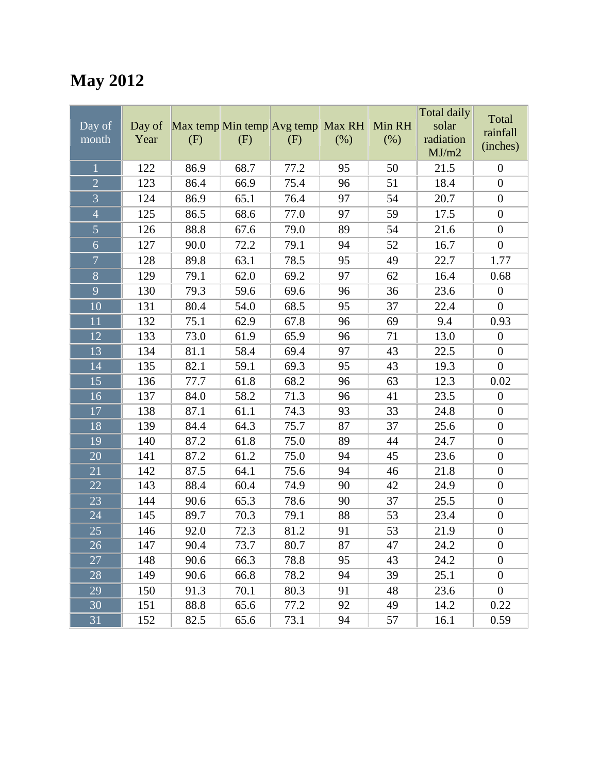# **May 2012**

| Day of<br>month | Day of<br>Year | Max temp Min temp Avg temp Max RH<br>(F) | (F)  | (F)  | (% )            | Min RH<br>(% ) | Total daily<br>solar<br>radiation<br>MJ/m2 | Total<br>rainfall<br>(inches) |
|-----------------|----------------|------------------------------------------|------|------|-----------------|----------------|--------------------------------------------|-------------------------------|
| $\mathbf{1}$    | 122            | 86.9                                     | 68.7 | 77.2 | 95              | 50             | 21.5                                       | $\boldsymbol{0}$              |
| $\overline{2}$  | 123            | 86.4                                     | 66.9 | 75.4 | 96              | 51             | 18.4                                       | $\boldsymbol{0}$              |
| $\overline{3}$  | 124            | 86.9                                     | 65.1 | 76.4 | 97              | 54             | 20.7                                       | $\boldsymbol{0}$              |
| $\overline{4}$  | 125            | 86.5                                     | 68.6 | 77.0 | 97              | 59             | 17.5                                       | $\boldsymbol{0}$              |
| 5               | 126            | 88.8                                     | 67.6 | 79.0 | 89              | 54             | 21.6                                       | $\boldsymbol{0}$              |
| 6               | 127            | 90.0                                     | 72.2 | 79.1 | 94              | 52             | 16.7                                       | $\boldsymbol{0}$              |
| $\overline{7}$  | 128            | 89.8                                     | 63.1 | 78.5 | 95              | 49             | 22.7                                       | 1.77                          |
| $\overline{8}$  | 129            | 79.1                                     | 62.0 | 69.2 | 97              | 62             | 16.4                                       | 0.68                          |
| 9               | 130            | 79.3                                     | 59.6 | 69.6 | 96              | 36             | 23.6                                       | $\boldsymbol{0}$              |
| 10              | 131            | 80.4                                     | 54.0 | 68.5 | 95              | 37             | 22.4                                       | $\overline{0}$                |
| 11              | 132            | 75.1                                     | 62.9 | 67.8 | 96              | 69             | 9.4                                        | 0.93                          |
| 12              | 133            | 73.0                                     | 61.9 | 65.9 | 96              | 71             | 13.0                                       | $\boldsymbol{0}$              |
| 13              | 134            | 81.1                                     | 58.4 | 69.4 | 97              | 43             | 22.5                                       | $\boldsymbol{0}$              |
| 14              | 135            | 82.1                                     | 59.1 | 69.3 | 95              | 43             | 19.3                                       | $\overline{0}$                |
| 15              | 136            | 77.7                                     | 61.8 | 68.2 | 96              | 63             | 12.3                                       | 0.02                          |
| 16              | 137            | 84.0                                     | 58.2 | 71.3 | 96              | 41             | 23.5                                       | $\boldsymbol{0}$              |
| 17              | 138            | 87.1                                     | 61.1 | 74.3 | 93              | 33             | 24.8                                       | $\boldsymbol{0}$              |
| 18              | 139            | 84.4                                     | 64.3 | 75.7 | 87              | 37             | 25.6                                       | $\boldsymbol{0}$              |
| 19              | 140            | 87.2                                     | 61.8 | 75.0 | 89              | 44             | 24.7                                       | $\boldsymbol{0}$              |
| 20              | 141            | 87.2                                     | 61.2 | 75.0 | 94              | 45             | 23.6                                       | $\boldsymbol{0}$              |
| 21              | 142            | 87.5                                     | 64.1 | 75.6 | 94              | 46             | 21.8                                       | $\boldsymbol{0}$              |
| 22              | 143            | 88.4                                     | 60.4 | 74.9 | 90              | 42             | 24.9                                       | $\boldsymbol{0}$              |
| 23              | 144            | 90.6                                     | 65.3 | 78.6 | 90              | 37             | 25.5                                       | $\boldsymbol{0}$              |
| 24              | 145            | 89.7                                     | 70.3 | 79.1 | 88              | 53             | 23.4                                       | $\boldsymbol{0}$              |
| 25              | 146            | 92.0                                     | 72.3 | 81.2 | 91              | 53             | 21.9                                       | $\boldsymbol{0}$              |
| $\overline{26}$ | 147            | 90.4                                     | 73.7 | 80.7 | $\overline{87}$ | 47             | 24.2                                       | $\boldsymbol{0}$              |
| 27              | 148            | 90.6                                     | 66.3 | 78.8 | 95              | 43             | 24.2                                       | $\boldsymbol{0}$              |
| 28              | 149            | 90.6                                     | 66.8 | 78.2 | 94              | 39             | 25.1                                       | $\boldsymbol{0}$              |
| 29              | 150            | 91.3                                     | 70.1 | 80.3 | 91              | 48             | 23.6                                       | $\boldsymbol{0}$              |
| 30              | 151            | 88.8                                     | 65.6 | 77.2 | 92              | 49             | 14.2                                       | 0.22                          |
| 31              | 152            | 82.5                                     | 65.6 | 73.1 | 94              | 57             | 16.1                                       | 0.59                          |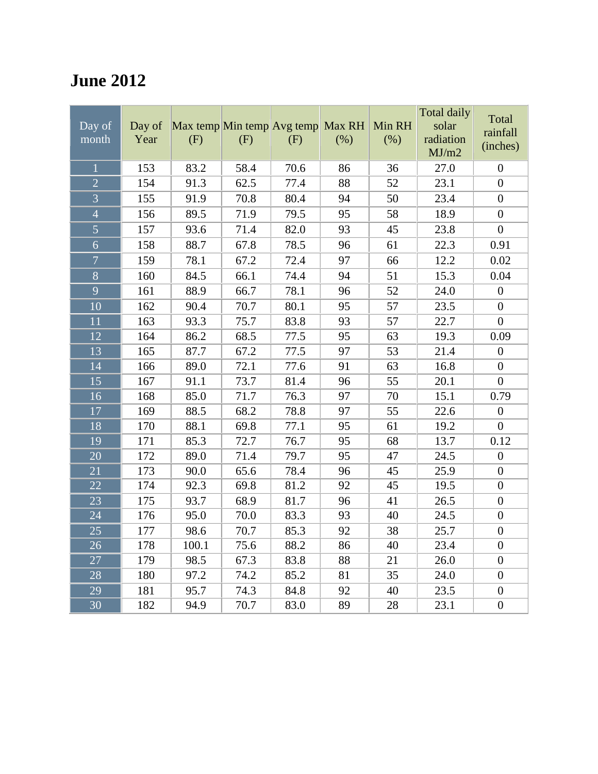## **June 2012**

| $\overline{$ Day of<br>month | Day of<br>Year | Max temp Min temp Avg temp<br>(F) | (F)  | (F)  | Max RH<br>(%) | Min RH<br>(% ) | <b>Total daily</b><br>solar<br>radiation<br>MJ/m2 | Total<br>rainfall<br>(inches) |
|------------------------------|----------------|-----------------------------------|------|------|---------------|----------------|---------------------------------------------------|-------------------------------|
| $\overline{1}$               | 153            | 83.2                              | 58.4 | 70.6 | 86            | 36             | 27.0                                              | $\overline{0}$                |
| $\overline{2}$               | 154            | 91.3                              | 62.5 | 77.4 | 88            | 52             | 23.1                                              | $\boldsymbol{0}$              |
| $\overline{3}$               | 155            | 91.9                              | 70.8 | 80.4 | 94            | 50             | 23.4                                              | $\boldsymbol{0}$              |
| $\overline{4}$               | 156            | 89.5                              | 71.9 | 79.5 | 95            | 58             | 18.9                                              | $\boldsymbol{0}$              |
| $\overline{5}$               | 157            | 93.6                              | 71.4 | 82.0 | 93            | 45             | 23.8                                              | $\boldsymbol{0}$              |
| $\overline{6}$               | 158            | 88.7                              | 67.8 | 78.5 | 96            | 61             | 22.3                                              | 0.91                          |
| $\overline{7}$               | 159            | 78.1                              | 67.2 | 72.4 | 97            | 66             | 12.2                                              | 0.02                          |
| $\overline{8}$               | 160            | 84.5                              | 66.1 | 74.4 | 94            | 51             | 15.3                                              | 0.04                          |
| $\overline{9}$               | 161            | 88.9                              | 66.7 | 78.1 | 96            | 52             | 24.0                                              | $\boldsymbol{0}$              |
| $\overline{10}$              | 162            | 90.4                              | 70.7 | 80.1 | 95            | 57             | 23.5                                              | $\overline{0}$                |
| $\overline{11}$              | 163            | 93.3                              | 75.7 | 83.8 | 93            | 57             | 22.7                                              | $\overline{0}$                |
| 12                           | 164            | 86.2                              | 68.5 | 77.5 | 95            | 63             | 19.3                                              | 0.09                          |
| 13                           | 165            | 87.7                              | 67.2 | 77.5 | 97            | 53             | 21.4                                              | $\boldsymbol{0}$              |
| 14                           | 166            | 89.0                              | 72.1 | 77.6 | 91            | 63             | 16.8                                              | $\boldsymbol{0}$              |
| 15                           | 167            | 91.1                              | 73.7 | 81.4 | 96            | 55             | 20.1                                              | $\overline{0}$                |
| $\overline{16}$              | 168            | 85.0                              | 71.7 | 76.3 | 97            | 70             | 15.1                                              | 0.79                          |
| 17                           | 169            | 88.5                              | 68.2 | 78.8 | 97            | 55             | 22.6                                              | $\boldsymbol{0}$              |
| 18                           | 170            | 88.1                              | 69.8 | 77.1 | 95            | 61             | 19.2                                              | $\overline{0}$                |
| 19                           | 171            | 85.3                              | 72.7 | 76.7 | 95            | 68             | 13.7                                              | 0.12                          |
| $\overline{20}$              | 172            | 89.0                              | 71.4 | 79.7 | 95            | 47             | 24.5                                              | $\boldsymbol{0}$              |
| $\overline{21}$              | 173            | 90.0                              | 65.6 | 78.4 | 96            | 45             | 25.9                                              | $\overline{0}$                |
| 22                           | 174            | 92.3                              | 69.8 | 81.2 | 92            | 45             | 19.5                                              | $\boldsymbol{0}$              |
| 23                           | 175            | 93.7                              | 68.9 | 81.7 | 96            | 41             | 26.5                                              | $\boldsymbol{0}$              |
| 24                           | 176            | 95.0                              | 70.0 | 83.3 | 93            | 40             | 24.5                                              | $\boldsymbol{0}$              |
| 25                           | 177            | 98.6                              | 70.7 | 85.3 | 92            | 38             | 25.7                                              | $\boldsymbol{0}$              |
| 26                           | 178            | 100.1                             | 75.6 | 88.2 | 86            | 40             | 23.4                                              | $\overline{0}$                |
| 27                           | 179            | 98.5                              | 67.3 | 83.8 | 88            | 21             | 26.0                                              | $\boldsymbol{0}$              |
| 28                           | 180            | 97.2                              | 74.2 | 85.2 | 81            | 35             | 24.0                                              | $\boldsymbol{0}$              |
| 29                           | 181            | 95.7                              | 74.3 | 84.8 | 92            | 40             | 23.5                                              | $\boldsymbol{0}$              |
| $\overline{30}$              | 182            | 94.9                              | 70.7 | 83.0 | 89            | 28             | 23.1                                              | $\boldsymbol{0}$              |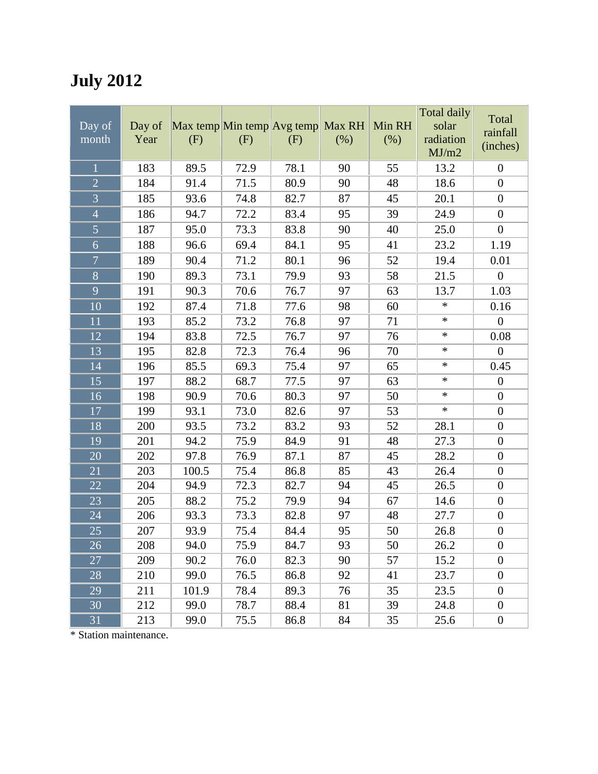# **July 2012**

|                 |        |                                   |      |      |      |        | Total daily |                   |
|-----------------|--------|-----------------------------------|------|------|------|--------|-------------|-------------------|
| Day of          | Day of | Max temp Min temp Avg temp Max RH |      |      |      | Min RH | solar       | Total<br>rainfall |
| month           | Year   | (F)                               | (F)  | (F)  | (% ) | (% )   | radiation   | (inches)          |
|                 |        |                                   |      |      |      |        | MJ/m2       |                   |
| $\overline{1}$  | 183    | 89.5                              | 72.9 | 78.1 | 90   | 55     | 13.2        | $\boldsymbol{0}$  |
| $\overline{2}$  | 184    | 91.4                              | 71.5 | 80.9 | 90   | 48     | 18.6        | $\boldsymbol{0}$  |
| $\overline{3}$  | 185    | 93.6                              | 74.8 | 82.7 | 87   | 45     | 20.1        | $\boldsymbol{0}$  |
| $\overline{4}$  | 186    | 94.7                              | 72.2 | 83.4 | 95   | 39     | 24.9        | $\boldsymbol{0}$  |
| $\overline{5}$  | 187    | 95.0                              | 73.3 | 83.8 | 90   | 40     | 25.0        | $\boldsymbol{0}$  |
| $\overline{6}$  | 188    | 96.6                              | 69.4 | 84.1 | 95   | 41     | 23.2        | 1.19              |
| $\overline{7}$  | 189    | 90.4                              | 71.2 | 80.1 | 96   | 52     | 19.4        | 0.01              |
| $\overline{8}$  | 190    | 89.3                              | 73.1 | 79.9 | 93   | 58     | 21.5        | $\overline{0}$    |
| $\overline{9}$  | 191    | 90.3                              | 70.6 | 76.7 | 97   | 63     | 13.7        | 1.03              |
| 10              | 192    | 87.4                              | 71.8 | 77.6 | 98   | 60     | $\ast$      | 0.16              |
| 11              | 193    | 85.2                              | 73.2 | 76.8 | 97   | 71     | $\ast$      | $\boldsymbol{0}$  |
| 12              | 194    | 83.8                              | 72.5 | 76.7 | 97   | 76     | $\ast$      | 0.08              |
| 13              | 195    | 82.8                              | 72.3 | 76.4 | 96   | 70     | $\ast$      | $\boldsymbol{0}$  |
| 14              | 196    | 85.5                              | 69.3 | 75.4 | 97   | 65     | $\ast$      | 0.45              |
| 15              | 197    | 88.2                              | 68.7 | 77.5 | 97   | 63     | $\ast$      | $\boldsymbol{0}$  |
| 16              | 198    | 90.9                              | 70.6 | 80.3 | 97   | 50     | $\ast$      | $\boldsymbol{0}$  |
| 17              | 199    | 93.1                              | 73.0 | 82.6 | 97   | 53     | $\ast$      | $\boldsymbol{0}$  |
| 18              | 200    | 93.5                              | 73.2 | 83.2 | 93   | 52     | 28.1        | $\boldsymbol{0}$  |
| 19              | 201    | 94.2                              | 75.9 | 84.9 | 91   | 48     | 27.3        | $\boldsymbol{0}$  |
| 20              | 202    | 97.8                              | 76.9 | 87.1 | 87   | 45     | 28.2        | $\boldsymbol{0}$  |
| 21              | 203    | 100.5                             | 75.4 | 86.8 | 85   | 43     | 26.4        | $\boldsymbol{0}$  |
| 22              | 204    | 94.9                              | 72.3 | 82.7 | 94   | 45     | 26.5        | $\boldsymbol{0}$  |
| 23              | 205    | 88.2                              | 75.2 | 79.9 | 94   | 67     | 14.6        | $\boldsymbol{0}$  |
| 24              | 206    | 93.3                              | 73.3 | 82.8 | 97   | 48     | 27.7        | $\boldsymbol{0}$  |
| 25              | 207    | 93.9                              | 75.4 | 84.4 | 95   | 50     | 26.8        | $\boldsymbol{0}$  |
| $\overline{26}$ | 208    | 94.0                              | 75.9 | 84.7 | 93   | 50     | 26.2        | $\boldsymbol{0}$  |
| 27              | 209    | 90.2                              | 76.0 | 82.3 | 90   | 57     | 15.2        | $\boldsymbol{0}$  |
| 28              | 210    | 99.0                              | 76.5 | 86.8 | 92   | 41     | 23.7        | $\boldsymbol{0}$  |
| 29              | 211    | 101.9                             | 78.4 | 89.3 | 76   | 35     | 23.5        | $\boldsymbol{0}$  |
| 30              | 212    | 99.0                              | 78.7 | 88.4 | 81   | 39     | 24.8        | $\boldsymbol{0}$  |
| 31              | 213    | 99.0                              | 75.5 | 86.8 | 84   | 35     | 25.6        | $\boldsymbol{0}$  |

\* Station maintenance.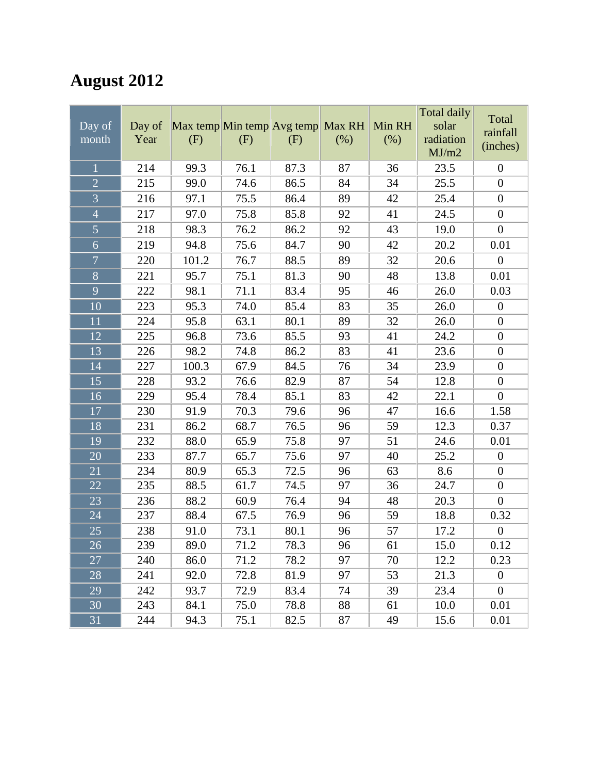# **August 2012**

|                 |        |                                   |      |      |        |        | Total daily | Total            |
|-----------------|--------|-----------------------------------|------|------|--------|--------|-------------|------------------|
| Day of          | Day of | Max temp Min temp Avg temp Max RH |      |      |        | Min RH | solar       | rainfall         |
| month           | Year   | (F)                               | (F)  | (F)  | $(\%)$ | (% )   | radiation   | (inches)         |
|                 |        |                                   |      |      |        |        | MJ/m2       |                  |
| $\mathbf{1}$    | 214    | 99.3                              | 76.1 | 87.3 | 87     | 36     | 23.5        | $\boldsymbol{0}$ |
| $\overline{2}$  | 215    | 99.0                              | 74.6 | 86.5 | 84     | 34     | 25.5        | $\boldsymbol{0}$ |
| $\overline{3}$  | 216    | 97.1                              | 75.5 | 86.4 | 89     | 42     | 25.4        | $\boldsymbol{0}$ |
| $\overline{4}$  | 217    | 97.0                              | 75.8 | 85.8 | 92     | 41     | 24.5        | $\boldsymbol{0}$ |
| $\overline{5}$  | 218    | 98.3                              | 76.2 | 86.2 | 92     | 43     | 19.0        | $\boldsymbol{0}$ |
| $\overline{6}$  | 219    | 94.8                              | 75.6 | 84.7 | 90     | 42     | 20.2        | 0.01             |
| $\overline{7}$  | 220    | 101.2                             | 76.7 | 88.5 | 89     | 32     | 20.6        | $\boldsymbol{0}$ |
| $\overline{8}$  | 221    | 95.7                              | 75.1 | 81.3 | 90     | 48     | 13.8        | 0.01             |
| 9               | 222    | 98.1                              | 71.1 | 83.4 | 95     | 46     | 26.0        | 0.03             |
| 10              | 223    | 95.3                              | 74.0 | 85.4 | 83     | 35     | 26.0        | $\boldsymbol{0}$ |
| 11              | 224    | 95.8                              | 63.1 | 80.1 | 89     | 32     | 26.0        | $\boldsymbol{0}$ |
| 12              | 225    | 96.8                              | 73.6 | 85.5 | 93     | 41     | 24.2        | $\boldsymbol{0}$ |
| 13              | 226    | 98.2                              | 74.8 | 86.2 | 83     | 41     | 23.6        | $\boldsymbol{0}$ |
| 14              | 227    | 100.3                             | 67.9 | 84.5 | 76     | 34     | 23.9        | $\boldsymbol{0}$ |
| 15              | 228    | 93.2                              | 76.6 | 82.9 | 87     | 54     | 12.8        | $\boldsymbol{0}$ |
| 16              | 229    | 95.4                              | 78.4 | 85.1 | 83     | 42     | 22.1        | $\boldsymbol{0}$ |
| 17              | 230    | 91.9                              | 70.3 | 79.6 | 96     | 47     | 16.6        | 1.58             |
| 18              | 231    | 86.2                              | 68.7 | 76.5 | 96     | 59     | 12.3        | 0.37             |
| 19              | 232    | 88.0                              | 65.9 | 75.8 | 97     | 51     | 24.6        | 0.01             |
| 20              | 233    | 87.7                              | 65.7 | 75.6 | 97     | 40     | 25.2        | $\boldsymbol{0}$ |
| 21              | 234    | 80.9                              | 65.3 | 72.5 | 96     | 63     | 8.6         | $\boldsymbol{0}$ |
| 22              | 235    | 88.5                              | 61.7 | 74.5 | 97     | 36     | 24.7        | $\boldsymbol{0}$ |
| 23              | 236    | 88.2                              | 60.9 | 76.4 | 94     | 48     | 20.3        | $\boldsymbol{0}$ |
| 24              | 237    | 88.4                              | 67.5 | 76.9 | 96     | 59     | 18.8        | 0.32             |
| 25              | 238    | 91.0                              | 73.1 | 80.1 | 96     | 57     | 17.2        | $\boldsymbol{0}$ |
| $\overline{26}$ | 239    | 89.0                              | 71.2 | 78.3 | 96     | 61     | 15.0        | 0.12             |
| 27              | 240    | 86.0                              | 71.2 | 78.2 | 97     | 70     | 12.2        | 0.23             |
| 28              | 241    | 92.0                              | 72.8 | 81.9 | 97     | 53     | 21.3        | $\overline{0}$   |
| 29              | 242    | 93.7                              | 72.9 | 83.4 | 74     | 39     | 23.4        | $\overline{0}$   |
| 30              | 243    | 84.1                              | 75.0 | 78.8 | 88     | 61     | 10.0        | 0.01             |
| 31              | 244    | 94.3                              | 75.1 | 82.5 | 87     | 49     | 15.6        | 0.01             |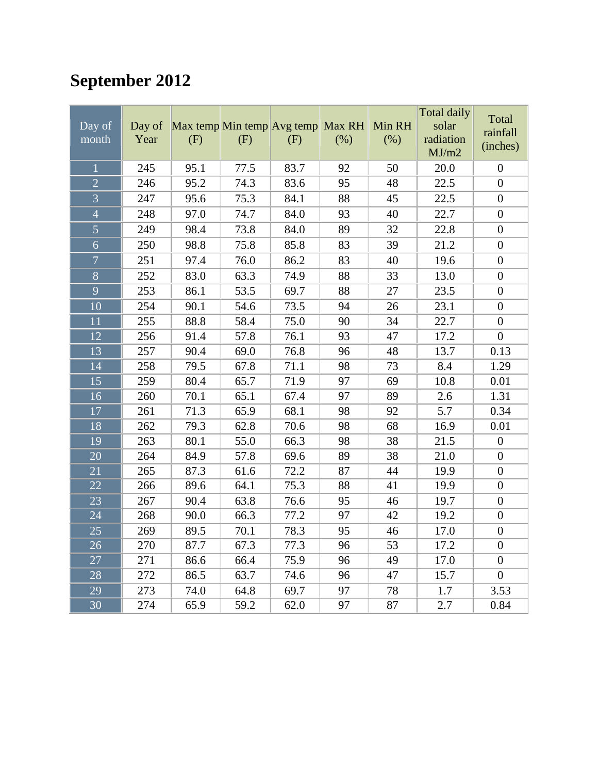# **September 2012**

| Day of<br>month | Day of<br>Year | Max temp Min temp Avg temp<br>(F) | (F)  | (F)  | Max RH<br>(% ) | Min RH<br>(% ) | <b>Total daily</b><br>solar<br>radiation<br>MJ/m2 | Total<br>rainfall<br>(inches) |
|-----------------|----------------|-----------------------------------|------|------|----------------|----------------|---------------------------------------------------|-------------------------------|
| $\overline{1}$  | 245            | 95.1                              | 77.5 | 83.7 | 92             | 50             | 20.0                                              | $\boldsymbol{0}$              |
| $\overline{2}$  | 246            | 95.2                              | 74.3 | 83.6 | 95             | 48             | 22.5                                              | $\boldsymbol{0}$              |
| $\overline{3}$  | 247            | 95.6                              | 75.3 | 84.1 | 88             | 45             | 22.5                                              | $\boldsymbol{0}$              |
| $\overline{4}$  | 248            | 97.0                              | 74.7 | 84.0 | 93             | 40             | 22.7                                              | $\boldsymbol{0}$              |
| $\overline{5}$  | 249            | 98.4                              | 73.8 | 84.0 | 89             | 32             | 22.8                                              | $\boldsymbol{0}$              |
| 6               | 250            | 98.8                              | 75.8 | 85.8 | 83             | 39             | 21.2                                              | $\boldsymbol{0}$              |
| $\overline{7}$  | 251            | 97.4                              | 76.0 | 86.2 | 83             | 40             | 19.6                                              | $\overline{0}$                |
| $\overline{8}$  | 252            | 83.0                              | 63.3 | 74.9 | 88             | 33             | 13.0                                              | $\boldsymbol{0}$              |
| $\overline{9}$  | 253            | 86.1                              | 53.5 | 69.7 | 88             | 27             | 23.5                                              | $\boldsymbol{0}$              |
| 10              | 254            | 90.1                              | 54.6 | 73.5 | 94             | 26             | 23.1                                              | $\boldsymbol{0}$              |
| $\overline{11}$ | 255            | 88.8                              | 58.4 | 75.0 | 90             | 34             | 22.7                                              | $\boldsymbol{0}$              |
| 12              | 256            | 91.4                              | 57.8 | 76.1 | 93             | 47             | 17.2                                              | $\boldsymbol{0}$              |
| 13              | 257            | 90.4                              | 69.0 | 76.8 | 96             | 48             | 13.7                                              | 0.13                          |
| 14              | 258            | 79.5                              | 67.8 | 71.1 | 98             | 73             | 8.4                                               | 1.29                          |
| 15              | 259            | 80.4                              | 65.7 | 71.9 | 97             | 69             | 10.8                                              | 0.01                          |
| 16              | 260            | 70.1                              | 65.1 | 67.4 | 97             | 89             | 2.6                                               | 1.31                          |
| 17              | 261            | 71.3                              | 65.9 | 68.1 | 98             | 92             | 5.7                                               | 0.34                          |
| 18              | 262            | 79.3                              | 62.8 | 70.6 | 98             | 68             | 16.9                                              | 0.01                          |
| 19              | 263            | 80.1                              | 55.0 | 66.3 | 98             | 38             | 21.5                                              | $\boldsymbol{0}$              |
| 20              | 264            | 84.9                              | 57.8 | 69.6 | 89             | 38             | 21.0                                              | $\boldsymbol{0}$              |
| 21              | 265            | 87.3                              | 61.6 | 72.2 | 87             | 44             | 19.9                                              | $\boldsymbol{0}$              |
| $\overline{22}$ | 266            | 89.6                              | 64.1 | 75.3 | 88             | 41             | 19.9                                              | $\boldsymbol{0}$              |
| $\overline{23}$ | 267            | 90.4                              | 63.8 | 76.6 | 95             | 46             | 19.7                                              | $\boldsymbol{0}$              |
| 24              | 268            | 90.0                              | 66.3 | 77.2 | 97             | 42             | 19.2                                              | $\boldsymbol{0}$              |
| 25              | 269            | 89.5                              | 70.1 | 78.3 | 95             | 46             | 17.0                                              | $\boldsymbol{0}$              |
| 26              | 270            | 87.7                              | 67.3 | 77.3 | 96             | 53             | 17.2                                              | $\boldsymbol{0}$              |
| 27              | 271            | 86.6                              | 66.4 | 75.9 | 96             | 49             | 17.0                                              | $\boldsymbol{0}$              |
| 28              | 272            | 86.5                              | 63.7 | 74.6 | 96             | 47             | 15.7                                              | $\boldsymbol{0}$              |
| 29              | 273            | 74.0                              | 64.8 | 69.7 | 97             | 78             | 1.7                                               | 3.53                          |
| 30              | 274            | 65.9                              | 59.2 | 62.0 | 97             | 87             | 2.7                                               | 0.84                          |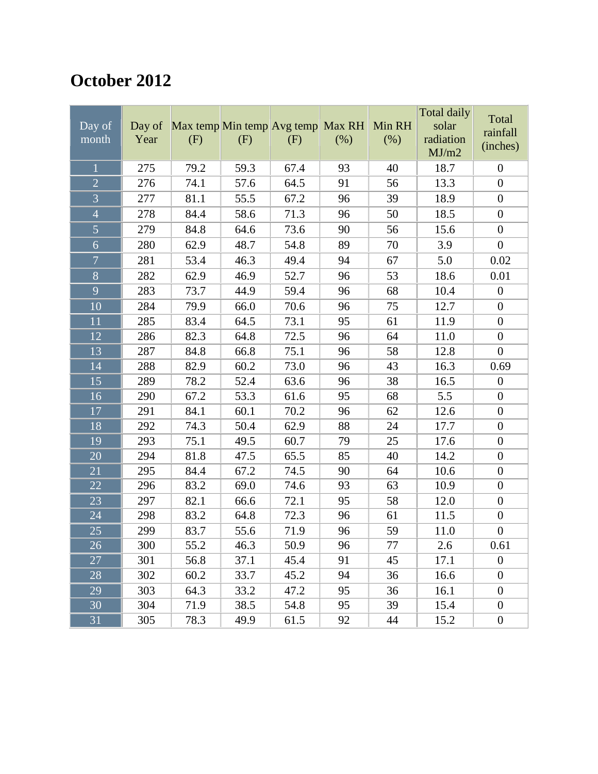## **October 2012**

|                 |        |      |                                   |      |      |        | Total daily | Total            |
|-----------------|--------|------|-----------------------------------|------|------|--------|-------------|------------------|
| Day of          | Day of |      | Max temp Min temp Avg temp Max RH |      |      | Min RH | solar       | rainfall         |
| month           | Year   | (F)  | (F)                               | (F)  | (% ) | (% )   | radiation   | (inches)         |
|                 |        |      |                                   |      |      |        | MJ/m2       |                  |
| $\mathbf{1}$    | 275    | 79.2 | 59.3                              | 67.4 | 93   | 40     | 18.7        | $\boldsymbol{0}$ |
| $\overline{2}$  | 276    | 74.1 | 57.6                              | 64.5 | 91   | 56     | 13.3        | $\boldsymbol{0}$ |
| $\overline{3}$  | 277    | 81.1 | 55.5                              | 67.2 | 96   | 39     | 18.9        | $\boldsymbol{0}$ |
| $\overline{4}$  | 278    | 84.4 | 58.6                              | 71.3 | 96   | 50     | 18.5        | $\boldsymbol{0}$ |
| $\overline{5}$  | 279    | 84.8 | 64.6                              | 73.6 | 90   | 56     | 15.6        | $\boldsymbol{0}$ |
| $\overline{6}$  | 280    | 62.9 | 48.7                              | 54.8 | 89   | 70     | 3.9         | $\boldsymbol{0}$ |
| $\overline{7}$  | 281    | 53.4 | 46.3                              | 49.4 | 94   | 67     | 5.0         | 0.02             |
| $\overline{8}$  | 282    | 62.9 | 46.9                              | 52.7 | 96   | 53     | 18.6        | 0.01             |
| 9               | 283    | 73.7 | 44.9                              | 59.4 | 96   | 68     | 10.4        | $\boldsymbol{0}$ |
| 10              | 284    | 79.9 | 66.0                              | 70.6 | 96   | 75     | 12.7        | $\boldsymbol{0}$ |
| 11              | 285    | 83.4 | 64.5                              | 73.1 | 95   | 61     | 11.9        | $\boldsymbol{0}$ |
| $\overline{12}$ | 286    | 82.3 | 64.8                              | 72.5 | 96   | 64     | 11.0        | $\boldsymbol{0}$ |
| 13              | 287    | 84.8 | 66.8                              | 75.1 | 96   | 58     | 12.8        | $\boldsymbol{0}$ |
| 14              | 288    | 82.9 | 60.2                              | 73.0 | 96   | 43     | 16.3        | 0.69             |
| 15              | 289    | 78.2 | 52.4                              | 63.6 | 96   | 38     | 16.5        | $\boldsymbol{0}$ |
| 16              | 290    | 67.2 | 53.3                              | 61.6 | 95   | 68     | 5.5         | $\boldsymbol{0}$ |
| 17              | 291    | 84.1 | 60.1                              | 70.2 | 96   | 62     | 12.6        | $\boldsymbol{0}$ |
| 18              | 292    | 74.3 | 50.4                              | 62.9 | 88   | 24     | 17.7        | $\boldsymbol{0}$ |
| 19              | 293    | 75.1 | 49.5                              | 60.7 | 79   | 25     | 17.6        | $\boldsymbol{0}$ |
| 20              | 294    | 81.8 | 47.5                              | 65.5 | 85   | 40     | 14.2        | $\boldsymbol{0}$ |
| 21              | 295    | 84.4 | 67.2                              | 74.5 | 90   | 64     | 10.6        | $\boldsymbol{0}$ |
| 22              | 296    | 83.2 | 69.0                              | 74.6 | 93   | 63     | 10.9        | $\boldsymbol{0}$ |
| 23              | 297    | 82.1 | 66.6                              | 72.1 | 95   | 58     | 12.0        | $\boldsymbol{0}$ |
| 24              | 298    | 83.2 | 64.8                              | 72.3 | 96   | 61     | 11.5        | $\boldsymbol{0}$ |
| 25              | 299    | 83.7 | 55.6                              | 71.9 | 96   | 59     | 11.0        | $\boldsymbol{0}$ |
| $\overline{26}$ | 300    | 55.2 | 46.3                              | 50.9 | 96   | 77     | $2.6\,$     | 0.61             |
| 27              | 301    | 56.8 | 37.1                              | 45.4 | 91   | 45     | 17.1        | $\boldsymbol{0}$ |
| 28              | 302    | 60.2 | 33.7                              | 45.2 | 94   | 36     | 16.6        | $\boldsymbol{0}$ |
| 29              | 303    | 64.3 | 33.2                              | 47.2 | 95   | 36     | 16.1        | $\boldsymbol{0}$ |
| 30              | 304    | 71.9 | 38.5                              | 54.8 | 95   | 39     | 15.4        | $\boldsymbol{0}$ |
| 31              | 305    | 78.3 | 49.9                              | 61.5 | 92   | 44     | 15.2        | $\boldsymbol{0}$ |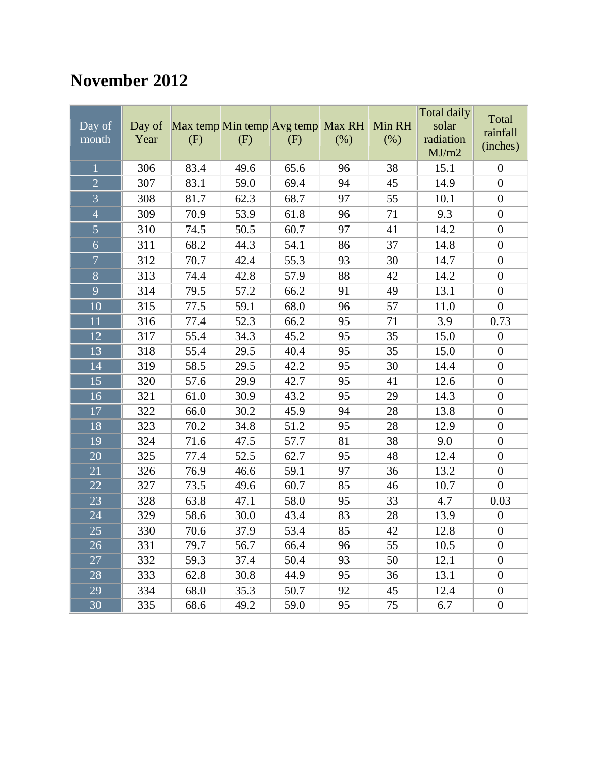### **November 2012**

| Day of<br>month | Day of<br>Year | Max temp Min temp Avg temp Max RH<br>(F) | (F)  | (F)  | (%) | Min RH<br>(% ) | <b>Total daily</b><br>solar<br>radiation<br>MJ/m2 | Total<br>rainfall<br>(inches) |
|-----------------|----------------|------------------------------------------|------|------|-----|----------------|---------------------------------------------------|-------------------------------|
| $\overline{1}$  | 306            | 83.4                                     | 49.6 | 65.6 | 96  | 38             | 15.1                                              | $\boldsymbol{0}$              |
| $\overline{2}$  | 307            | 83.1                                     | 59.0 | 69.4 | 94  | 45             | 14.9                                              | $\overline{0}$                |
| $\overline{3}$  | 308            | 81.7                                     | 62.3 | 68.7 | 97  | 55             | 10.1                                              | $\overline{0}$                |
| $\overline{4}$  | 309            | 70.9                                     | 53.9 | 61.8 | 96  | 71             | 9.3                                               | $\boldsymbol{0}$              |
| $\overline{5}$  | 310            | 74.5                                     | 50.5 | 60.7 | 97  | 41             | 14.2                                              | $\boldsymbol{0}$              |
| $\overline{6}$  | 311            | 68.2                                     | 44.3 | 54.1 | 86  | 37             | 14.8                                              | $\boldsymbol{0}$              |
| $\overline{7}$  | 312            | 70.7                                     | 42.4 | 55.3 | 93  | 30             | 14.7                                              | $\boldsymbol{0}$              |
| $\overline{8}$  | 313            | 74.4                                     | 42.8 | 57.9 | 88  | 42             | 14.2                                              | $\boldsymbol{0}$              |
| 9               | 314            | 79.5                                     | 57.2 | 66.2 | 91  | 49             | 13.1                                              | $\boldsymbol{0}$              |
| 10              | 315            | 77.5                                     | 59.1 | 68.0 | 96  | 57             | 11.0                                              | $\overline{0}$                |
| 11              | 316            | 77.4                                     | 52.3 | 66.2 | 95  | 71             | 3.9                                               | 0.73                          |
| 12              | 317            | 55.4                                     | 34.3 | 45.2 | 95  | 35             | 15.0                                              | $\boldsymbol{0}$              |
| 13              | 318            | 55.4                                     | 29.5 | 40.4 | 95  | 35             | 15.0                                              | $\boldsymbol{0}$              |
| 14              | 319            | 58.5                                     | 29.5 | 42.2 | 95  | 30             | 14.4                                              | $\boldsymbol{0}$              |
| 15              | 320            | 57.6                                     | 29.9 | 42.7 | 95  | 41             | 12.6                                              | $\boldsymbol{0}$              |
| $\overline{16}$ | 321            | 61.0                                     | 30.9 | 43.2 | 95  | 29             | 14.3                                              | $\overline{0}$                |
| 17              | 322            | 66.0                                     | 30.2 | 45.9 | 94  | 28             | 13.8                                              | $\boldsymbol{0}$              |
| 18              | 323            | 70.2                                     | 34.8 | 51.2 | 95  | 28             | 12.9                                              | $\boldsymbol{0}$              |
| 19              | 324            | 71.6                                     | 47.5 | 57.7 | 81  | 38             | 9.0                                               | $\boldsymbol{0}$              |
| 20              | 325            | 77.4                                     | 52.5 | 62.7 | 95  | 48             | 12.4                                              | $\boldsymbol{0}$              |
| $\overline{21}$ | 326            | 76.9                                     | 46.6 | 59.1 | 97  | 36             | 13.2                                              | $\boldsymbol{0}$              |
| 22              | 327            | 73.5                                     | 49.6 | 60.7 | 85  | 46             | 10.7                                              | $\boldsymbol{0}$              |
| 23              | 328            | 63.8                                     | 47.1 | 58.0 | 95  | 33             | 4.7                                               | 0.03                          |
| 24              | 329            | 58.6                                     | 30.0 | 43.4 | 83  | 28             | 13.9                                              | $\boldsymbol{0}$              |
| 25              | 330            | 70.6                                     | 37.9 | 53.4 | 85  | 42             | 12.8                                              | $\overline{0}$                |
| 26              | 331            | 79.7                                     | 56.7 | 66.4 | 96  | 55             | 10.5                                              | $\boldsymbol{0}$              |
| 27              | 332            | 59.3                                     | 37.4 | 50.4 | 93  | 50             | 12.1                                              | $\boldsymbol{0}$              |
| 28              | 333            | 62.8                                     | 30.8 | 44.9 | 95  | 36             | 13.1                                              | $\boldsymbol{0}$              |
| 29              | 334            | 68.0                                     | 35.3 | 50.7 | 92  | 45             | 12.4                                              | $\boldsymbol{0}$              |
| 30              | 335            | 68.6                                     | 49.2 | 59.0 | 95  | 75             | 6.7                                               | $\boldsymbol{0}$              |